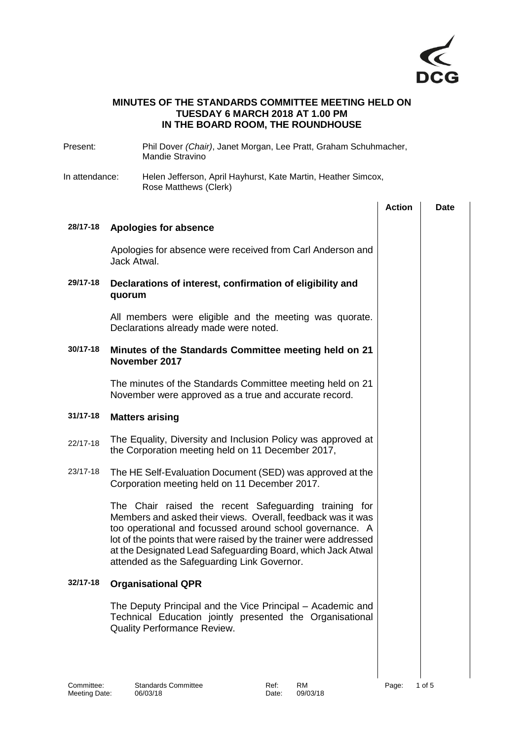

## **MINUTES OF THE STANDARDS COMMITTEE MEETING HELD ON TUESDAY 6 MARCH 2018 AT 1.00 PM IN THE BOARD ROOM, THE ROUNDHOUSE**

| Present:       | Phil Dover (Chair), Janet Morgan, Lee Pratt, Graham Schuhmacher,<br><b>Mandie Stravino</b>                                                                                                                                                                                                                                                                         |                                                               |             |  |  |  |
|----------------|--------------------------------------------------------------------------------------------------------------------------------------------------------------------------------------------------------------------------------------------------------------------------------------------------------------------------------------------------------------------|---------------------------------------------------------------|-------------|--|--|--|
| In attendance: | Rose Matthews (Clerk)                                                                                                                                                                                                                                                                                                                                              | Helen Jefferson, April Hayhurst, Kate Martin, Heather Simcox, |             |  |  |  |
|                |                                                                                                                                                                                                                                                                                                                                                                    | <b>Action</b>                                                 | <b>Date</b> |  |  |  |
| 28/17-18       | Apologies for absence                                                                                                                                                                                                                                                                                                                                              |                                                               |             |  |  |  |
|                | Apologies for absence were received from Carl Anderson and<br>Jack Atwal.                                                                                                                                                                                                                                                                                          |                                                               |             |  |  |  |
| 29/17-18       | Declarations of interest, confirmation of eligibility and<br>quorum                                                                                                                                                                                                                                                                                                |                                                               |             |  |  |  |
|                | All members were eligible and the meeting was quorate.<br>Declarations already made were noted.                                                                                                                                                                                                                                                                    |                                                               |             |  |  |  |
| 30/17-18       | Minutes of the Standards Committee meeting held on 21<br>November 2017                                                                                                                                                                                                                                                                                             |                                                               |             |  |  |  |
|                | The minutes of the Standards Committee meeting held on 21<br>November were approved as a true and accurate record.                                                                                                                                                                                                                                                 |                                                               |             |  |  |  |
| $31/17 - 18$   | <b>Matters arising</b>                                                                                                                                                                                                                                                                                                                                             |                                                               |             |  |  |  |
| 22/17-18       | The Equality, Diversity and Inclusion Policy was approved at<br>the Corporation meeting held on 11 December 2017,                                                                                                                                                                                                                                                  |                                                               |             |  |  |  |
| 23/17-18       | The HE Self-Evaluation Document (SED) was approved at the<br>Corporation meeting held on 11 December 2017.                                                                                                                                                                                                                                                         |                                                               |             |  |  |  |
|                | The Chair raised the recent Safeguarding training for<br>Members and asked their views. Overall, feedback was it was<br>too operational and focussed around school governance. A<br>lot of the points that were raised by the trainer were addressed<br>at the Designated Lead Safeguarding Board, which Jack Atwal<br>attended as the Safeguarding Link Governor. |                                                               |             |  |  |  |
| 32/17-18       | <b>Organisational QPR</b>                                                                                                                                                                                                                                                                                                                                          |                                                               |             |  |  |  |
|                | The Deputy Principal and the Vice Principal – Academic and<br>Technical Education jointly presented the Organisational<br>Quality Performance Review.                                                                                                                                                                                                              |                                                               |             |  |  |  |
|                |                                                                                                                                                                                                                                                                                                                                                                    |                                                               |             |  |  |  |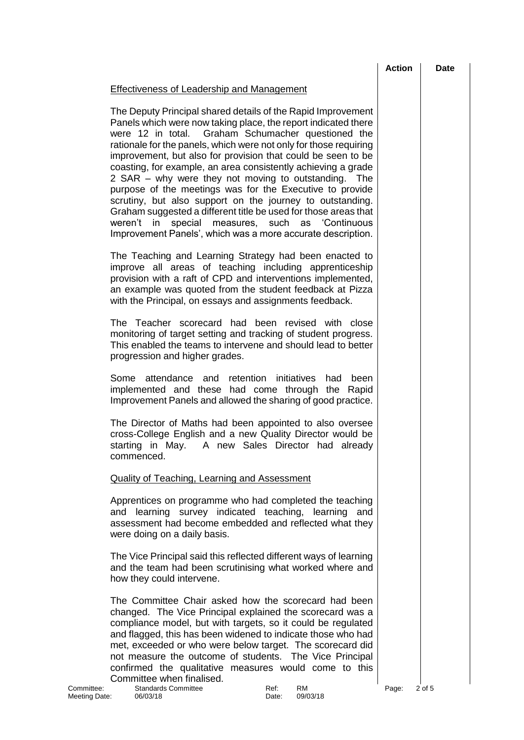### Effectiveness of Leadership and Management

The Deputy Principal shared details of the Rapid Improvement Panels which were now taking place, the report indicated there were 12 in total. Graham Schumacher questioned the rationale for the panels, which were not only for those requiring improvement, but also for provision that could be seen to be coasting, for example, an area consistently achieving a grade 2 SAR – why were they not moving to outstanding. The purpose of the meetings was for the Executive to provide scrutiny, but also support on the journey to outstanding. Graham suggested a different title be used for those areas that weren't in special measures, such as 'Continuous Improvement Panels', which was a more accurate description.

The Teaching and Learning Strategy had been enacted to improve all areas of teaching including apprenticeship provision with a raft of CPD and interventions implemented, an example was quoted from the student feedback at Pizza with the Principal, on essays and assignments feedback.

The Teacher scorecard had been revised with close monitoring of target setting and tracking of student progress. This enabled the teams to intervene and should lead to better progression and higher grades.

Some attendance and retention initiatives had been implemented and these had come through the Rapid Improvement Panels and allowed the sharing of good practice.

The Director of Maths had been appointed to also oversee cross-College English and a new Quality Director would be starting in May. A new Sales Director had already commenced.

#### Quality of Teaching, Learning and Assessment

Apprentices on programme who had completed the teaching and learning survey indicated teaching, learning and assessment had become embedded and reflected what they were doing on a daily basis.

The Vice Principal said this reflected different ways of learning and the team had been scrutinising what worked where and how they could intervene.

The Committee Chair asked how the scorecard had been changed. The Vice Principal explained the scorecard was a compliance model, but with targets, so it could be regulated and flagged, this has been widened to indicate those who had met, exceeded or who were below target. The scorecard did not measure the outcome of students. The Vice Principal confirmed the qualitative measures would come to this Committee when finalised.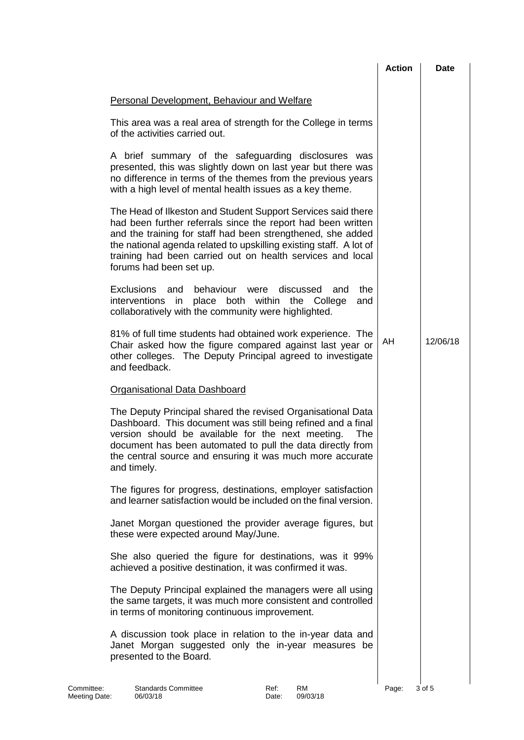|                                                                                                                                                                                                                                                                                                                                                            | <b>Action</b> | <b>Date</b> |
|------------------------------------------------------------------------------------------------------------------------------------------------------------------------------------------------------------------------------------------------------------------------------------------------------------------------------------------------------------|---------------|-------------|
| <b>Personal Development, Behaviour and Welfare</b>                                                                                                                                                                                                                                                                                                         |               |             |
| This area was a real area of strength for the College in terms<br>of the activities carried out.                                                                                                                                                                                                                                                           |               |             |
| A brief summary of the safeguarding disclosures was<br>presented, this was slightly down on last year but there was<br>no difference in terms of the themes from the previous years<br>with a high level of mental health issues as a key theme.                                                                                                           |               |             |
| The Head of Ilkeston and Student Support Services said there<br>had been further referrals since the report had been written<br>and the training for staff had been strengthened, she added<br>the national agenda related to upskilling existing staff. A lot of<br>training had been carried out on health services and local<br>forums had been set up. |               |             |
| Exclusions and<br>behaviour were<br>discussed<br>the<br>and<br>interventions in place both within the College<br>and<br>collaboratively with the community were highlighted.                                                                                                                                                                               |               |             |
| 81% of full time students had obtained work experience. The<br>Chair asked how the figure compared against last year or<br>other colleges. The Deputy Principal agreed to investigate<br>and feedback.                                                                                                                                                     | AH            | 12/06/18    |
| <b>Organisational Data Dashboard</b>                                                                                                                                                                                                                                                                                                                       |               |             |
| The Deputy Principal shared the revised Organisational Data<br>Dashboard. This document was still being refined and a final<br>version should be available for the next meeting.<br>The<br>document has been automated to pull the data directly from<br>the central source and ensuring it was much more accurate<br>and timely.                          |               |             |
| The figures for progress, destinations, employer satisfaction<br>and learner satisfaction would be included on the final version.                                                                                                                                                                                                                          |               |             |
| Janet Morgan questioned the provider average figures, but<br>these were expected around May/June.                                                                                                                                                                                                                                                          |               |             |
| She also queried the figure for destinations, was it 99%<br>achieved a positive destination, it was confirmed it was.                                                                                                                                                                                                                                      |               |             |
| The Deputy Principal explained the managers were all using<br>the same targets, it was much more consistent and controlled<br>in terms of monitoring continuous improvement.                                                                                                                                                                               |               |             |
| A discussion took place in relation to the in-year data and<br>Janet Morgan suggested only the in-year measures be<br>presented to the Board.                                                                                                                                                                                                              |               |             |
| RM<br><b>Standards Committee</b><br>Ref:<br>Meeting Date:<br>06/03/18<br>09/03/18<br>Date:                                                                                                                                                                                                                                                                 | Page:         | 3 of 5      |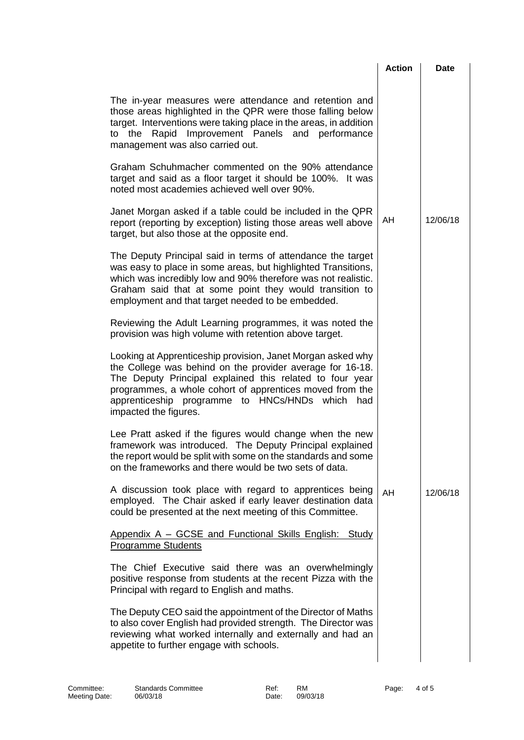|                                                                                                                                                                                                                                                                                                                                 | <b>Action</b> | <b>Date</b> |
|---------------------------------------------------------------------------------------------------------------------------------------------------------------------------------------------------------------------------------------------------------------------------------------------------------------------------------|---------------|-------------|
| The in-year measures were attendance and retention and<br>those areas highlighted in the QPR were those falling below<br>target. Interventions were taking place in the areas, in addition<br>to the Rapid Improvement Panels and performance<br>management was also carried out.                                               |               |             |
| Graham Schuhmacher commented on the 90% attendance<br>target and said as a floor target it should be 100%. It was<br>noted most academies achieved well over 90%.                                                                                                                                                               |               |             |
| Janet Morgan asked if a table could be included in the QPR<br>report (reporting by exception) listing those areas well above<br>target, but also those at the opposite end.                                                                                                                                                     | AH            | 12/06/18    |
| The Deputy Principal said in terms of attendance the target<br>was easy to place in some areas, but highlighted Transitions,<br>which was incredibly low and 90% therefore was not realistic.<br>Graham said that at some point they would transition to<br>employment and that target needed to be embedded.                   |               |             |
| Reviewing the Adult Learning programmes, it was noted the<br>provision was high volume with retention above target.                                                                                                                                                                                                             |               |             |
| Looking at Apprenticeship provision, Janet Morgan asked why<br>the College was behind on the provider average for 16-18.<br>The Deputy Principal explained this related to four year<br>programmes, a whole cohort of apprentices moved from the<br>apprenticeship programme to HNCs/HNDs which<br>had<br>impacted the figures. |               |             |
| Lee Pratt asked if the figures would change when the new<br>framework was introduced. The Deputy Principal explained<br>the report would be split with some on the standards and some<br>on the frameworks and there would be two sets of data.                                                                                 |               |             |
| A discussion took place with regard to apprentices being<br>employed. The Chair asked if early leaver destination data<br>could be presented at the next meeting of this Committee.                                                                                                                                             | AH.           | 12/06/18    |
| Appendix A - GCSE and Functional Skills English: Study<br><b>Programme Students</b>                                                                                                                                                                                                                                             |               |             |
| The Chief Executive said there was an overwhelmingly<br>positive response from students at the recent Pizza with the<br>Principal with regard to English and maths.                                                                                                                                                             |               |             |
| The Deputy CEO said the appointment of the Director of Maths<br>to also cover English had provided strength. The Director was<br>reviewing what worked internally and externally and had an<br>appetite to further engage with schools.                                                                                         |               |             |